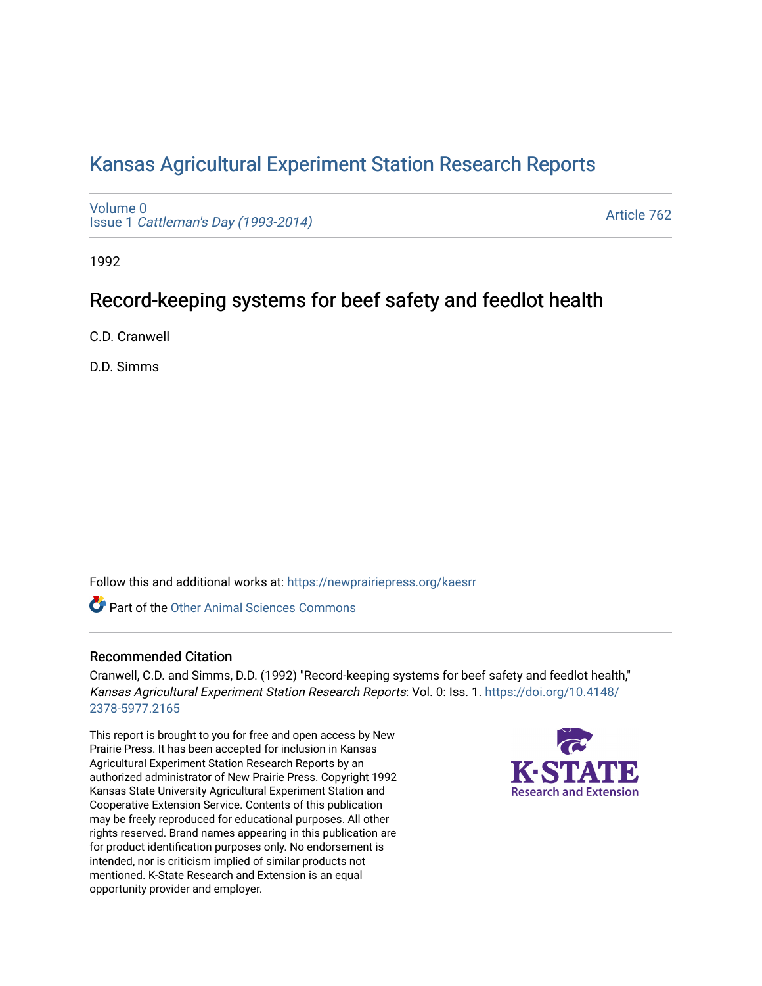## [Kansas Agricultural Experiment Station Research Reports](https://newprairiepress.org/kaesrr)

[Volume 0](https://newprairiepress.org/kaesrr/vol0) Issue 1 [Cattleman's Day \(1993-2014\)](https://newprairiepress.org/kaesrr/vol0/iss1) 

[Article 762](https://newprairiepress.org/kaesrr/vol0/iss1/762) 

1992

# Record-keeping systems for beef safety and feedlot health

C.D. Cranwell

D.D. Simms

Follow this and additional works at: [https://newprairiepress.org/kaesrr](https://newprairiepress.org/kaesrr?utm_source=newprairiepress.org%2Fkaesrr%2Fvol0%2Fiss1%2F762&utm_medium=PDF&utm_campaign=PDFCoverPages) 

**C** Part of the [Other Animal Sciences Commons](http://network.bepress.com/hgg/discipline/82?utm_source=newprairiepress.org%2Fkaesrr%2Fvol0%2Fiss1%2F762&utm_medium=PDF&utm_campaign=PDFCoverPages)

## Recommended Citation

Cranwell, C.D. and Simms, D.D. (1992) "Record-keeping systems for beef safety and feedlot health," Kansas Agricultural Experiment Station Research Reports: Vol. 0: Iss. 1. [https://doi.org/10.4148/](https://doi.org/10.4148/2378-5977.2165) [2378-5977.2165](https://doi.org/10.4148/2378-5977.2165) 

This report is brought to you for free and open access by New Prairie Press. It has been accepted for inclusion in Kansas Agricultural Experiment Station Research Reports by an authorized administrator of New Prairie Press. Copyright 1992 Kansas State University Agricultural Experiment Station and Cooperative Extension Service. Contents of this publication may be freely reproduced for educational purposes. All other rights reserved. Brand names appearing in this publication are for product identification purposes only. No endorsement is intended, nor is criticism implied of similar products not mentioned. K-State Research and Extension is an equal opportunity provider and employer.

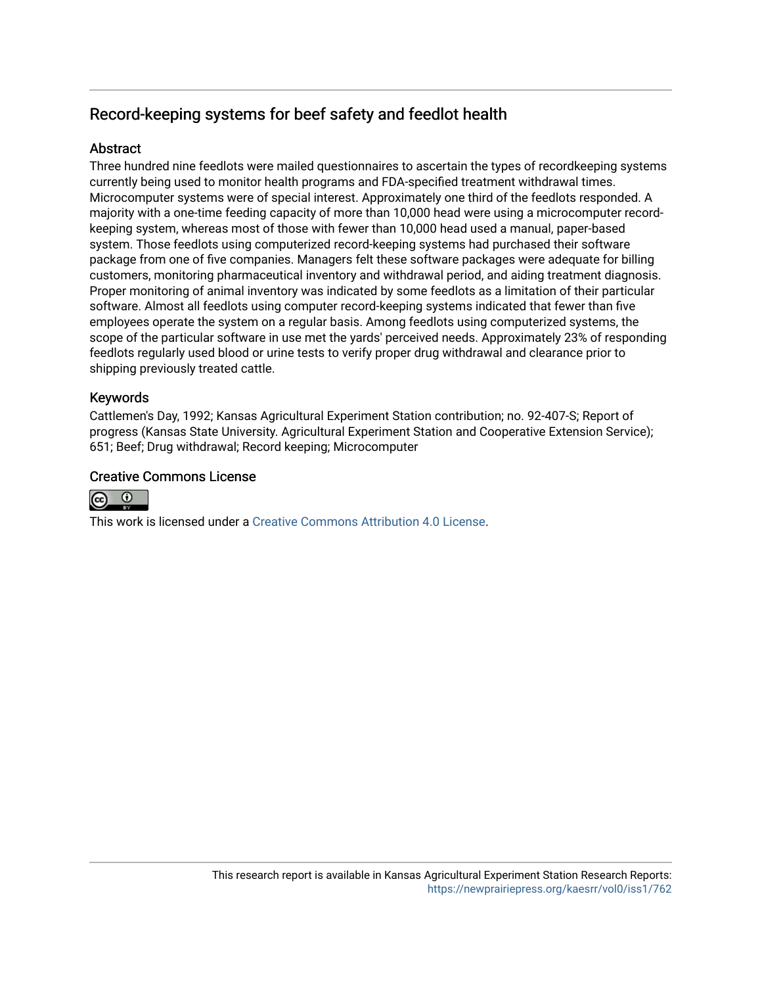## Record-keeping systems for beef safety and feedlot health

## **Abstract**

Three hundred nine feedlots were mailed questionnaires to ascertain the types of recordkeeping systems currently being used to monitor health programs and FDA-specified treatment withdrawal times. Microcomputer systems were of special interest. Approximately one third of the feedlots responded. A majority with a one-time feeding capacity of more than 10,000 head were using a microcomputer recordkeeping system, whereas most of those with fewer than 10,000 head used a manual, paper-based system. Those feedlots using computerized record-keeping systems had purchased their software package from one of five companies. Managers felt these software packages were adequate for billing customers, monitoring pharmaceutical inventory and withdrawal period, and aiding treatment diagnosis. Proper monitoring of animal inventory was indicated by some feedlots as a limitation of their particular software. Almost all feedlots using computer record-keeping systems indicated that fewer than five employees operate the system on a regular basis. Among feedlots using computerized systems, the scope of the particular software in use met the yards' perceived needs. Approximately 23% of responding feedlots regularly used blood or urine tests to verify proper drug withdrawal and clearance prior to shipping previously treated cattle.

## Keywords

Cattlemen's Day, 1992; Kansas Agricultural Experiment Station contribution; no. 92-407-S; Report of progress (Kansas State University. Agricultural Experiment Station and Cooperative Extension Service); 651; Beef; Drug withdrawal; Record keeping; Microcomputer

### Creative Commons License



This work is licensed under a [Creative Commons Attribution 4.0 License](https://creativecommons.org/licenses/by/4.0/).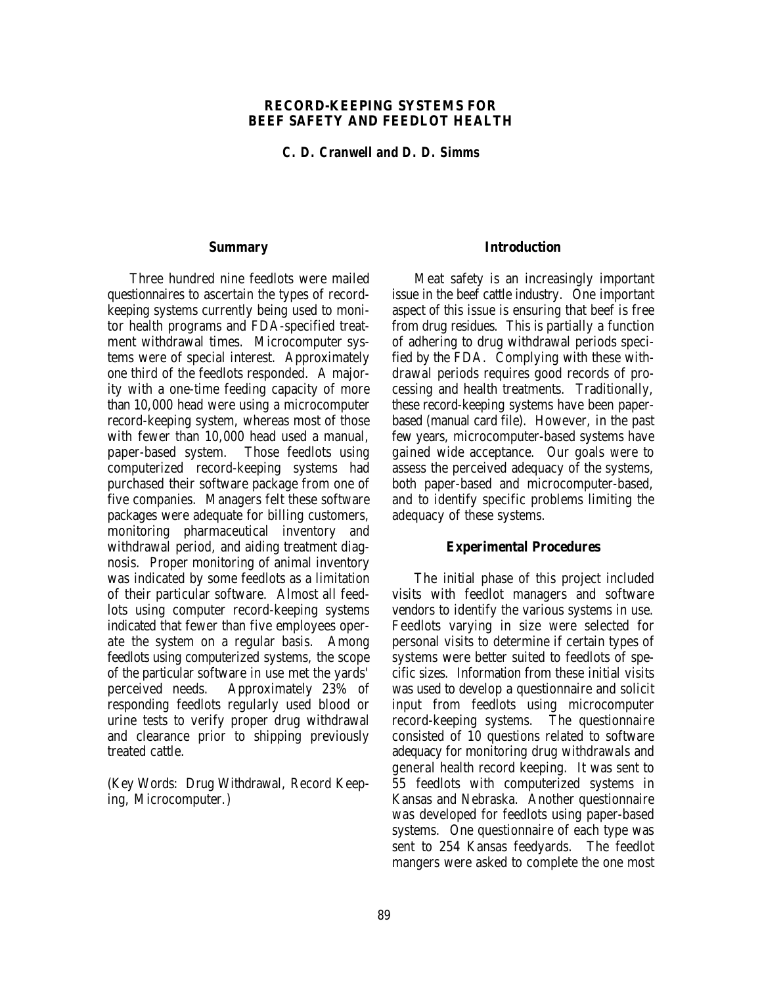#### **RECORD-KEEPING SYSTEMS FOR BEEF SAFETY AND FEEDLOT HEALTH**

*C. D. Cranwell and D. D. Simms*

#### **Summary**

Three hundred nine feedlots were mailed questionnaires to ascertain the types of recordkeeping systems currently being used to monitor health programs and FDA-specified treatment withdrawal times. Microcomputer systems were of special interest. Approximately one third of the feedlots responded. A majority with a one-time feeding capacity of more than 10,000 head were using a microcomputer record-keeping system, whereas most of those with fewer than 10,000 head used a manual, paper-based system. Those feedlots using computerized record-keeping systems had purchased their software package from one of five companies. Managers felt these software packages were adequate for billing customers, monitoring pharmaceutical inventory and withdrawal period, and aiding treatment diagnosis. Proper monitoring of animal inventory was indicated by some feedlots as a limitation of their particular software. Almost all feedlots using computer record-keeping systems indicated that fewer than five employees operate the system on a regular basis. Among feedlots using computerized systems, the scope of the particular software in use met the yards' perceived needs. Approximately 23% of responding feedlots regularly used blood or urine tests to verify proper drug withdrawal and clearance prior to shipping previously treated cattle.

(Key Words: Drug Withdrawal, Record Keeping, Microcomputer.)

#### **Introduction**

Meat safety is an increasingly important issue in the beef cattle industry. One important aspect of this issue is ensuring that beef is free from drug residues. This is partially a function of adhering to drug withdrawal periods specified by the FDA. Complying with these withdrawal periods requires good records of processing and health treatments. Traditionally, these record-keeping systems have been paperbased (manual card file). However, in the past few years, microcomputer-based systems have gained wide acceptance. Our goals were to assess the perceived adequacy of the systems, both paper-based and microcomputer-based, and to identify specific problems limiting the adequacy of these systems.

#### **Experimental Procedures**

The initial phase of this project included visits with feedlot managers and software vendors to identify the various systems in use. Feedlots varying in size were selected for personal visits to determine if certain types of systems were better suited to feedlots of specific sizes. Information from these initial visits was used to develop a questionnaire and solicit input from feedlots using microcomputer record-keeping systems. The questionnaire consisted of 10 questions related to software adequacy for monitoring drug withdrawals and general health record keeping. It was sent to 55 feedlots with computerized systems in Kansas and Nebraska. Another questionnaire was developed for feedlots using paper-based systems. One questionnaire of each type was sent to 254 Kansas feedyards. The feedlot mangers were asked to complete the one most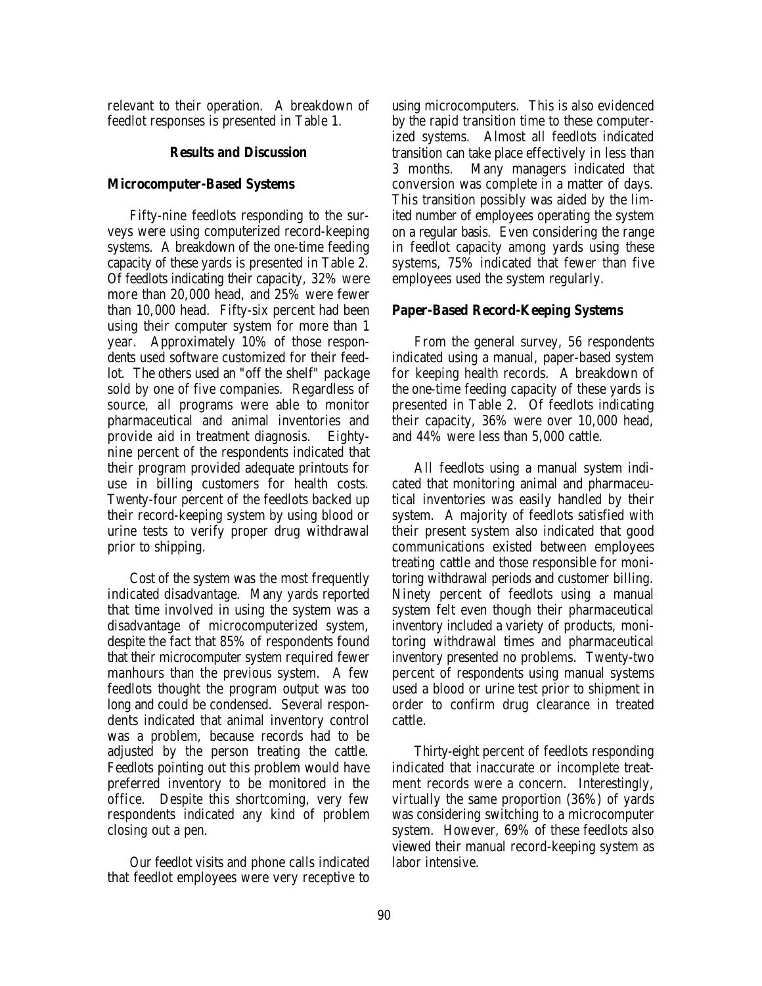relevant to their operation. A breakdown of feedlot responses is presented in Table 1.

#### **Results and Discussion**

#### **Microcomputer-Based Systems**

Fifty-nine feedlots responding to the surveys were using computerized record-keeping systems. A breakdown of the one-time feeding capacity of these yards is presented in Table 2. Of feedlots indicating their capacity, 32% were more than 20,000 head, and 25% were fewer than 10,000 head. Fifty-six percent had been using their computer system for more than 1 year. Approximately 10% of those respondents used software customized for their feedlot. The others used an "off the shelf" package sold by one of five companies. Regardless of source, all programs were able to monitor pharmaceutical and animal inventories and provide aid in treatment diagnosis. Eightynine percent of the respondents indicated that their program provided adequate printouts for use in billing customers for health costs. Twenty-four percent of the feedlots backed up their record-keeping system by using blood or urine tests to verify proper drug withdrawal prior to shipping.

 Cost of the system was the most frequently indicated disadvantage. Many yards reported that time involved in using the system was a disadvantage of microcomputerized system, despite the fact that 85% of respondents found that their microcomputer system required fewer manhours than the previous system. A few feedlots thought the program output was too long and could be condensed. Several respondents indicated that animal inventory control was a problem, because records had to be adjusted by the person treating the cattle. Feedlots pointing out this problem would have preferred inventory to be monitored in the office. Despite this shortcoming, very few respondents indicated any kind of problem closing out a pen.

Our feedlot visits and phone calls indicated that feedlot employees were very receptive to

using microcomputers. This is also evidenced by the rapid transition time to these computerized systems. Almost all feedlots indicated transition can take place effectively in less than 3 months. Many managers indicated that conversion was complete in a matter of days. This transition possibly was aided by the limited number of employees operating the system on a regular basis. Even considering the range in feedlot capacity among yards using these systems, 75% indicated that fewer than five employees used the system regularly.

#### **Paper-Based Record-Keeping Systems**

From the general survey, 56 respondents indicated using a manual, paper-based system for keeping health records. A breakdown of the one-time feeding capacity of these yards is presented in Table 2. Of feedlots indicating their capacity, 36% were over 10,000 head, and 44% were less than 5,000 cattle.

All feedlots using a manual system indicated that monitoring animal and pharmaceutical inventories was easily handled by their system. A majority of feedlots satisfied with their present system also indicated that good communications existed between employees treating cattle and those responsible for monitoring withdrawal periods and customer billing. Ninety percent of feedlots using a manual system felt even though their pharmaceutical inventory included a variety of products, monitoring withdrawal times and pharmaceutical inventory presented no problems. Twenty-two percent of respondents using manual systems used a blood or urine test prior to shipment in order to confirm drug clearance in treated cattle.

Thirty-eight percent of feedlots responding indicated that inaccurate or incomplete treatment records were a concern. Interestingly, virtually the same proportion (36%) of yards was considering switching to a microcomputer system. However, 69% of these feedlots also viewed their manual record-keeping system as labor intensive.